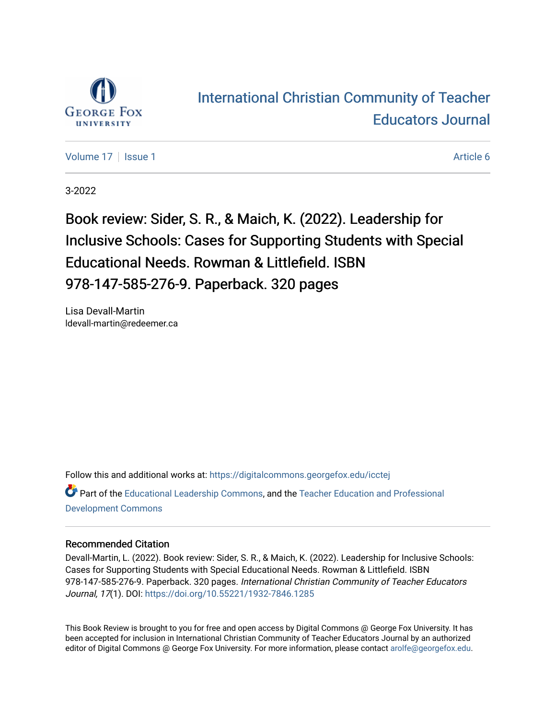

## [International Christian Community of Teacher](https://digitalcommons.georgefox.edu/icctej)  [Educators Journal](https://digitalcommons.georgefox.edu/icctej)

[Volume 17](https://digitalcommons.georgefox.edu/icctej/vol17) | [Issue 1](https://digitalcommons.georgefox.edu/icctej/vol17/iss1) Article 6

3-2022

Book review: Sider, S. R., & Maich, K. (2022). Leadership for Inclusive Schools: Cases for Supporting Students with Special Educational Needs. Rowman & Littlefield. ISBN 978-147-585-276-9. Paperback. 320 pages

Lisa Devall-Martin ldevall-martin@redeemer.ca

Follow this and additional works at: [https://digitalcommons.georgefox.edu/icctej](https://digitalcommons.georgefox.edu/icctej?utm_source=digitalcommons.georgefox.edu%2Ficctej%2Fvol17%2Fiss1%2F6&utm_medium=PDF&utm_campaign=PDFCoverPages) 

Part of the [Educational Leadership Commons,](http://network.bepress.com/hgg/discipline/1230?utm_source=digitalcommons.georgefox.edu%2Ficctej%2Fvol17%2Fiss1%2F6&utm_medium=PDF&utm_campaign=PDFCoverPages) and the [Teacher Education and Professional](http://network.bepress.com/hgg/discipline/803?utm_source=digitalcommons.georgefox.edu%2Ficctej%2Fvol17%2Fiss1%2F6&utm_medium=PDF&utm_campaign=PDFCoverPages) [Development Commons](http://network.bepress.com/hgg/discipline/803?utm_source=digitalcommons.georgefox.edu%2Ficctej%2Fvol17%2Fiss1%2F6&utm_medium=PDF&utm_campaign=PDFCoverPages) 

## Recommended Citation

Devall-Martin, L. (2022). Book review: Sider, S. R., & Maich, K. (2022). Leadership for Inclusive Schools: Cases for Supporting Students with Special Educational Needs. Rowman & Littlefield. ISBN 978-147-585-276-9. Paperback. 320 pages. International Christian Community of Teacher Educators Journal, 17(1). DOI: <https://doi.org/10.55221/1932-7846.1285>

This Book Review is brought to you for free and open access by Digital Commons @ George Fox University. It has been accepted for inclusion in International Christian Community of Teacher Educators Journal by an authorized editor of Digital Commons @ George Fox University. For more information, please contact [arolfe@georgefox.edu.](mailto:arolfe@georgefox.edu)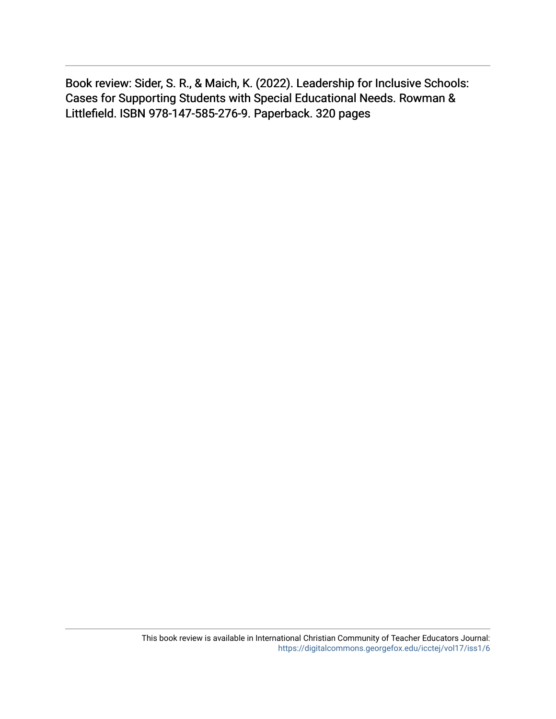Book review: Sider, S. R., & Maich, K. (2022). Leadership for Inclusive Schools: Cases for Supporting Students with Special Educational Needs. Rowman & Littlefield. ISBN 978-147-585-276-9. Paperback. 320 pages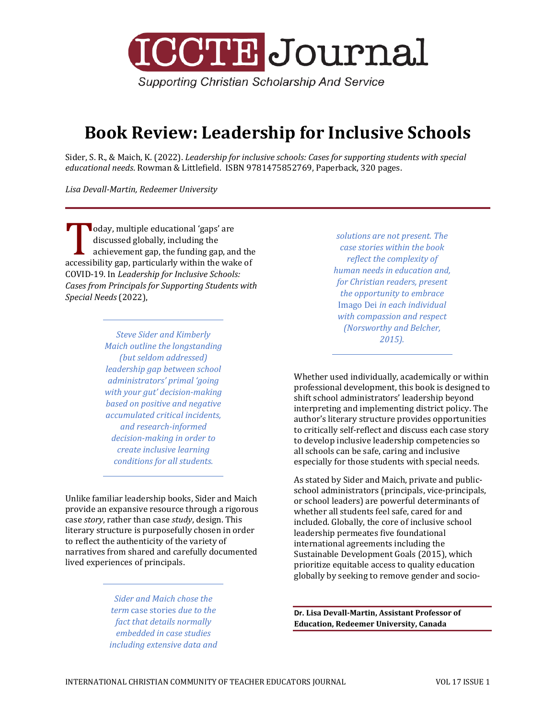

**Supporting Christian Scholarship And Service** 

## **Book Review: Leadership for Inclusive Schools**

Sider, S. R., & Maich, K. (2022). *Leadership for inclusive schools: Cases for supporting students with special educational needs*. Rowman & Littlefield. ISBN 9781475852769, Paperback, 320 pages.

*Lisa Devall-Martin, Redeemer University*

oday, multiple educational 'gaps' are discussed globally, including the achievement gap, the funding gap, and the accessibility gap, particularly within the wake of<br>
accessibility gap, particularly within the wake of<br>
COVID-19 In Leadership for Inclusive Schools: COVID-19. In *Leadership for Inclusive Schools: Cases from Principals for Supporting Students with Special Needs* (2022),

> *Steve Sider and Kimberly Maich outline the longstanding (but seldom addressed) leadership gap between school administrators' primal 'going with your gut' decision-making based on positive and negative accumulated critical incidents, and research-informed decision-making in order to create inclusive learning conditions for all students.*

Unlike familiar leadership books, Sider and Maich provide an expansive resource through a rigorous case *story*, rather than case *study*, design. This literary structure is purposefully chosen in order to reflect the authenticity of the variety of narratives from shared and carefully documented lived experiences of principals.

> *Sider and Maich chose the term* case stories *due to the fact that details normally embedded in case studies including extensive data and*

*solutions are not present. The case stories within the book reflect the complexity of human needs in education and, for Christian readers, present the opportunity to embrace*  Imago Dei *in each individual with compassion and respect (Norsworthy and Belcher, 2015).*

Whether used individually, academically or within professional development, this book is designed to shift school administrators' leadership beyond interpreting and implementing district policy. The author's literary structure provides opportunities to critically self-reflect and discuss each case story to develop inclusive leadership competencies so all schools can be safe, caring and inclusive especially for those students with special needs.

As stated by Sider and Maich, private and publicschool administrators (principals, vice-principals, or school leaders) are powerful determinants of whether all students feel safe, cared for and included. Globally, the core of inclusive school leadership permeates five foundational international agreements including the Sustainable Development Goals (2015), which prioritize equitable access to quality education globally by seeking to remove gender and socio-

**Dr. Lisa Devall-Martin, Assistant Professor of Education, Redeemer University, Canada**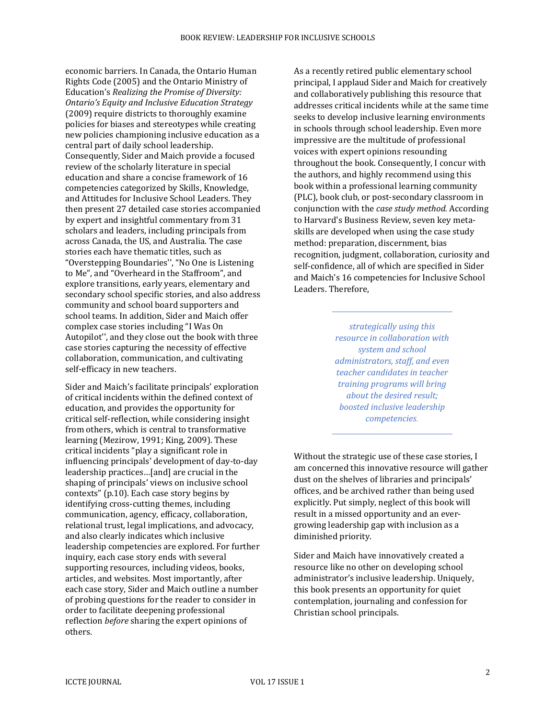economic barriers. In Canada, the Ontario Human Rights Code (2005) and the Ontario Ministry of Education's *Realizing the Promise of Diversity: Ontario's Equity and Inclusive Education Strategy*  (2009) require districts to thoroughly examine policies for biases and stereotypes while creating new policies championing inclusive education as a central part of daily school leadership. Consequently, Sider and Maich provide a focused review of the scholarly literature in special education and share a concise framework of 16 competencies categorized by Skills, Knowledge, and Attitudes for Inclusive School Leaders. They then present 27 detailed case stories accompanied by expert and insightful commentary from 31 scholars and leaders, including principals from across Canada, the US, and Australia. The case stories each have thematic titles, such as "Overstepping Boundaries'', "No One is Listening to Me", and "Overheard in the Staffroom", and explore transitions, early years, elementary and secondary school specific stories, and also address community and school board supporters and school teams. In addition, Sider and Maich offer complex case stories including "I Was On Autopilot'', and they close out the book with three case stories capturing the necessity of effective collaboration, communication, and cultivating self-efficacy in new teachers.

Sider and Maich's facilitate principals' exploration of critical incidents within the defined context of education, and provides the opportunity for critical self-reflection, while considering insight from others, which is central to transformative learning (Mezirow, 1991; King, 2009). These critical incidents "play a significant role in influencing principals' development of day-to-day leadership practices…[and] are crucial in the shaping of principals' views on inclusive school contexts" (p.10). Each case story begins by identifying cross-cutting themes, including communication, agency, efficacy, collaboration, relational trust, legal implications, and advocacy, and also clearly indicates which inclusive leadership competencies are explored. For further inquiry, each case story ends with several supporting resources, including videos, books, articles, and websites. Most importantly, after each case story, Sider and Maich outline a number of probing questions for the reader to consider in order to facilitate deepening professional reflection *before* sharing the expert opinions of others.

As a recently retired public elementary school principal, I applaud Sider and Maich for creatively and collaboratively publishing this resource that addresses critical incidents while at the same time seeks to develop inclusive learning environments in schools through school leadership. Even more impressive are the multitude of professional voices with expert opinions resounding throughout the book. Consequently, I concur with the authors, and highly recommend using this book within a professional learning community (PLC), book club, or post-secondary classroom in conjunction with the *case study method.* According to Harvard's Business Review, seven key metaskills are developed when using the case study method: preparation, discernment, bias recognition, judgment, collaboration, curiosity and self-confidence, all of which are specified in Sider and Maich's 16 competencies for Inclusive School Leaders. Therefore,

> *strategically using this resource in collaboration with system and school administrators, staff, and even teacher candidates in teacher training programs will bring about the desired result; boosted inclusive leadership competencies.*

Without the strategic use of these case stories, I am concerned this innovative resource will gather dust on the shelves of libraries and principals' offices, and be archived rather than being used explicitly. Put simply, neglect of this book will result in a missed opportunity and an evergrowing leadership gap with inclusion as a diminished priority.

Sider and Maich have innovatively created a resource like no other on developing school administrator's inclusive leadership. Uniquely, this book presents an opportunity for quiet contemplation, journaling and confession for Christian school principals.